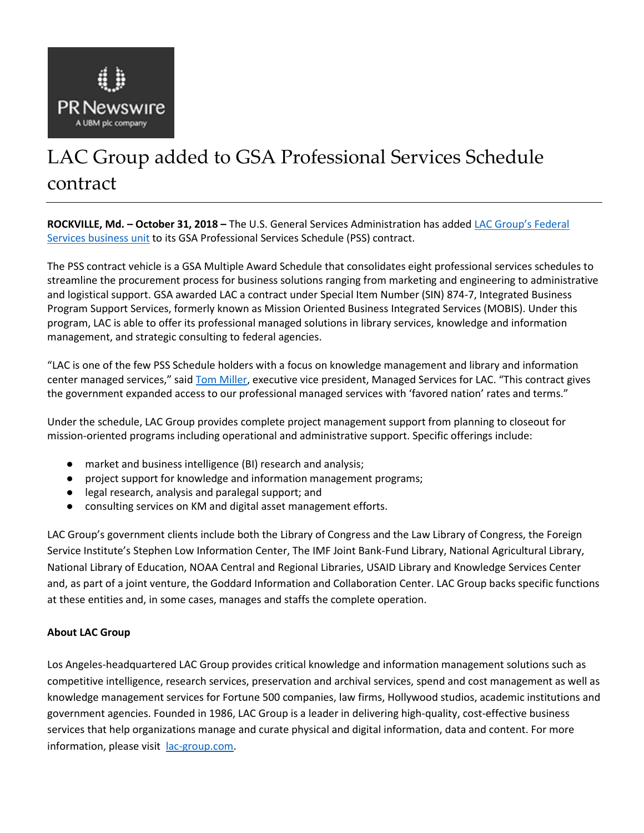

# LAC Group added to GSA Professional Services Schedule contract

**ROCKVILLE, Md. – October 31, 2018 –** The U.S. General Services Administration has added [LAC Group's Federal](https://lac-group.com/industries-we-serve/government/)  [Services](https://lac-group.com/industries-we-serve/government/) [business unit](https://lac-group.com/industries-we-serve/government/) to its GSA Professional Services Schedule (PSS) contract.

The PSS contract vehicle is a GSA Multiple Award Schedule that consolidates eight professional services schedules to streamline the procurement process for business solutions ranging from marketing and engineering to administrative and logistical support. GSA awarded LAC a contract under Special Item Number (SIN) 874-7, Integrated Business Program Support Services, formerly known as Mission Oriented Business Integrated Services (MOBIS). Under this program, LAC is able to offer its professional managed solutions in library services, knowledge and information management, and strategic consulting to federal agencies.

"LAC is one of the few PSS Schedule holders with a focus on knowledge management and library and information center managed services," said [Tom Miller](https://lac-group.com/leadership/tom-miller/), executive vice president, Managed Services for LAC. "This contract gives the government expanded access to our professional managed services with 'favored nation' rates and terms."

Under the schedule, LAC Group provides complete project management support from planning to closeout for mission-oriented programs including operational and administrative support. Specific offerings include:

- market and business intelligence (BI) research and analysis;
- project support for knowledge and information management programs;
- legal research, analysis and paralegal support; and
- consulting services on KM and digital asset management efforts.

LAC Group's government clients include both the Library of Congress and the Law Library of Congress, the Foreign Service Institute's Stephen Low Information Center, The IMF Joint Bank-Fund Library, National Agricultural Library, National Library of Education, NOAA Central and Regional Libraries, USAID Library and Knowledge Services Center and, as part of a joint venture, the Goddard Information and Collaboration Center. LAC Group backs specific functions at these entities and, in some cases, manages and staffs the complete operation.

## **About LAC Group**

Los Angeles-headquartered LAC Group provides critical knowledge and information management solutions such as competitive intelligence, research services, preservation and archival services, spend and cost management as well as knowledge management services for Fortune 500 companies, law firms, Hollywood studios, academic institutions and government agencies. Founded in 1986, LAC Group is a leader in delivering high-quality, cost-effective business services that help organizations manage and curate physical and digital information, data and content. For more information, please visit [lac-group.com.](https://lac-group.com/)